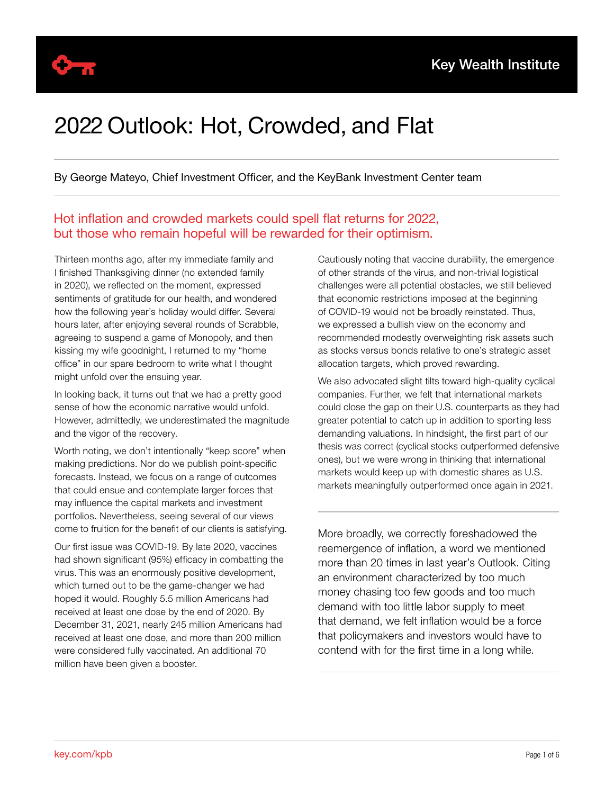

## 2022 Outlook: Hot, Crowded, and Flat

By George Mateyo, Chief Investment Officer, and the KeyBank Investment Center team

Hot inflation and crowded markets could spell flat returns for 2022, but those who remain hopeful will be rewarded for their optimism.

Thirteen months ago, after my immediate family and I finished Thanksgiving dinner (no extended family in 2020), we reflected on the moment, expressed sentiments of gratitude for our health, and wondered how the following year's holiday would differ. Several hours later, after enjoying several rounds of Scrabble, agreeing to suspend a game of Monopoly, and then kissing my wife goodnight, I returned to my "home office" in our spare bedroom to write what I thought might unfold over the ensuing year.

In looking back, it turns out that we had a pretty good sense of how the economic narrative would unfold. However, admittedly, we underestimated the magnitude and the vigor of the recovery.

Worth noting, we don't intentionally "keep score" when making predictions. Nor do we publish point-specific forecasts. Instead, we focus on a range of outcomes that could ensue and contemplate larger forces that may influence the capital markets and investment portfolios. Nevertheless, seeing several of our views come to fruition for the benefit of our clients is satisfying.

Our first issue was COVID-19. By late 2020, vaccines had shown significant (95%) efficacy in combatting the virus. This was an enormously positive development, which turned out to be the game-changer we had hoped it would. Roughly 5.5 million Americans had received at least one dose by the end of 2020. By December 31, 2021, nearly 245 million Americans had received at least one dose, and more than 200 million were considered fully vaccinated. An additional 70 million have been given a booster.

Cautiously noting that vaccine durability, the emergence of other strands of the virus, and non-trivial logistical challenges were all potential obstacles, we still believed that economic restrictions imposed at the beginning of COVID-19 would not be broadly reinstated. Thus, we expressed a bullish view on the economy and recommended modestly overweighting risk assets such as stocks versus bonds relative to one's strategic asset allocation targets, which proved rewarding.

We also advocated slight tilts toward high-quality cyclical companies. Further, we felt that international markets could close the gap on their U.S. counterparts as they had greater potential to catch up in addition to sporting less demanding valuations. In hindsight, the first part of our thesis was correct (cyclical stocks outperformed defensive ones), but we were wrong in thinking that international markets would keep up with domestic shares as U.S. markets meaningfully outperformed once again in 2021.

More broadly, we correctly foreshadowed the reemergence of inflation, a word we mentioned more than 20 times in last year's Outlook. Citing an environment characterized by too much money chasing too few goods and too much demand with too little labor supply to meet that demand, we felt inflation would be a force that policymakers and investors would have to contend with for the first time in a long while.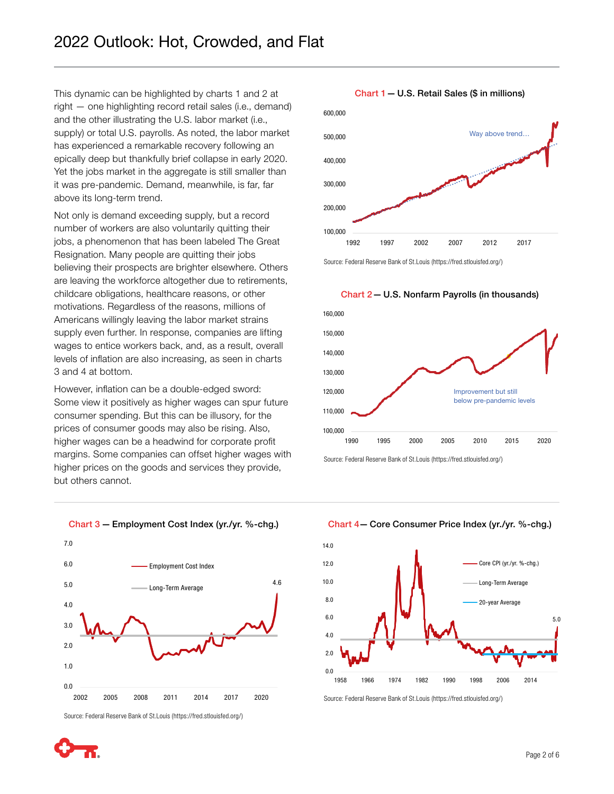This dynamic can be highlighted by charts 1 and 2 at right — one highlighting record retail sales (i.e., demand) and the other illustrating the U.S. labor market (i.e., supply) or total U.S. payrolls. As noted, the labor market has experienced a remarkable recovery following an epically deep but thankfully brief collapse in early 2020. Yet the jobs market in the aggregate is still smaller than it was pre-pandemic. Demand, meanwhile, is far, far above its long-term trend.

Not only is demand exceeding supply, but a record number of workers are also voluntarily quitting their jobs, a phenomenon that has been labeled The Great Resignation. Many people are quitting their jobs believing their prospects are brighter elsewhere. Others are leaving the workforce altogether due to retirements, childcare obligations, healthcare reasons, or other motivations. Regardless of the reasons, millions of Americans willingly leaving the labor market strains supply even further. In response, companies are lifting wages to entice workers back, and, as a result, overall levels of inflation are also increasing, as seen in charts 3 and 4 at bottom.

However, inflation can be a double-edged sword: Some view it positively as higher wages can spur future consumer spending. But this can be illusory, for the prices of consumer goods may also be rising. Also, higher wages can be a headwind for corporate profit margins. Some companies can offset higher wages with higher prices on the goods and services they provide, but others cannot.





Source: Federal Reserve Bank of St.Louis (https://fred.stlouisfed.org/)





Chart 1 — U.S. Retail Sales (\$ in millions)

Source: Federal Reserve Bank of St.Louis (https://fred.stlouisfed.org/)



Source: Federal Reserve Bank of St.Louis (https://fred.stlouisfed.org/)

Chart 4— Core Consumer Price Index (yr./yr. %-chg.)



Source: Federal Reserve Bank of St.Louis (https://fred.stlouisfed.org/)

Chart 2 — U.S. Nonfarm Payrolls (in thousands)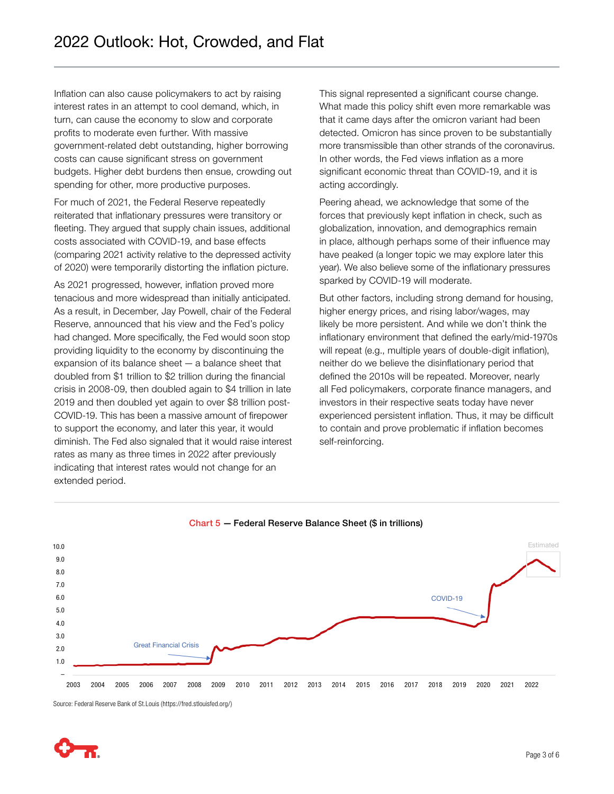Inflation can also cause policymakers to act by raising interest rates in an attempt to cool demand, which, in turn, can cause the economy to slow and corporate profits to moderate even further. With massive government-related debt outstanding, higher borrowing costs can cause significant stress on government budgets. Higher debt burdens then ensue, crowding out spending for other, more productive purposes.

For much of 2021, the Federal Reserve repeatedly reiterated that inflationary pressures were transitory or fleeting. They argued that supply chain issues, additional costs associated with COVID-19, and base effects (comparing 2021 activity relative to the depressed activity of 2020) were temporarily distorting the inflation picture.

As 2021 progressed, however, inflation proved more tenacious and more widespread than initially anticipated. As a result, in December, Jay Powell, chair of the Federal Reserve, announced that his view and the Fed's policy had changed. More specifically, the Fed would soon stop providing liquidity to the economy by discontinuing the expansion of its balance sheet — a balance sheet that doubled from \$1 trillion to \$2 trillion during the financial crisis in 2008-09, then doubled again to \$4 trillion in late 2019 and then doubled yet again to over \$8 trillion post-COVID-19. This has been a massive amount of firepower to support the economy, and later this year, it would diminish. The Fed also signaled that it would raise interest rates as many as three times in 2022 after previously indicating that interest rates would not change for an extended period.

This signal represented a significant course change. What made this policy shift even more remarkable was that it came days after the omicron variant had been detected. Omicron has since proven to be substantially more transmissible than other strands of the coronavirus. In other words, the Fed views inflation as a more significant economic threat than COVID-19, and it is acting accordingly.

Peering ahead, we acknowledge that some of the forces that previously kept inflation in check, such as globalization, innovation, and demographics remain in place, although perhaps some of their influence may have peaked (a longer topic we may explore later this year). We also believe some of the inflationary pressures sparked by COVID-19 will moderate.

But other factors, including strong demand for housing, higher energy prices, and rising labor/wages, may likely be more persistent. And while we don't think the inflationary environment that defined the early/mid-1970s will repeat (e.g., multiple years of double-digit inflation), neither do we believe the disinflationary period that defined the 2010s will be repeated. Moreover, nearly all Fed policymakers, corporate finance managers, and investors in their respective seats today have never experienced persistent inflation. Thus, it may be difficult to contain and prove problematic if inflation becomes self-reinforcing.



Chart 5 — Federal Reserve Balance Sheet (\$ in trillions)

Source: Federal Reserve Bank of St.Louis (https://fred.stlouisfed.org/)

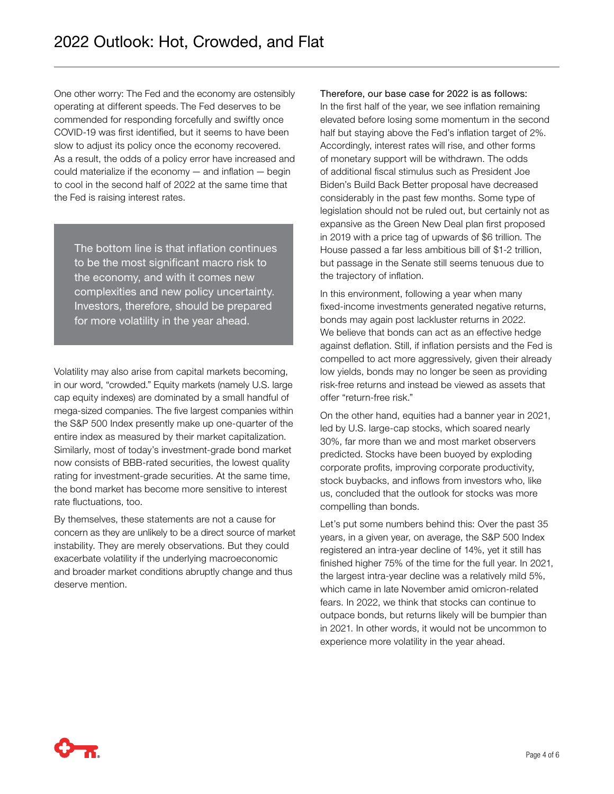One other worry: The Fed and the economy are ostensibly operating at different speeds. The Fed deserves to be commended for responding forcefully and swiftly once COVID-19 was first identified, but it seems to have been slow to adjust its policy once the economy recovered. As a result, the odds of a policy error have increased and could materialize if the economy — and inflation — begin to cool in the second half of 2022 at the same time that the Fed is raising interest rates.

The bottom line is that inflation continues to be the most significant macro risk to the economy, and with it comes new complexities and new policy uncertainty. Investors, therefore, should be prepared for more volatility in the year ahead.

Volatility may also arise from capital markets becoming, in our word, "crowded." Equity markets (namely U.S. large cap equity indexes) are dominated by a small handful of mega-sized companies. The five largest companies within the S&P 500 Index presently make up one-quarter of the entire index as measured by their market capitalization. Similarly, most of today's investment-grade bond market now consists of BBB-rated securities, the lowest quality rating for investment-grade securities. At the same time, the bond market has become more sensitive to interest rate fluctuations, too.

By themselves, these statements are not a cause for concern as they are unlikely to be a direct source of market instability. They are merely observations. But they could exacerbate volatility if the underlying macroeconomic and broader market conditions abruptly change and thus deserve mention.

Therefore, our base case for 2022 is as follows: In the first half of the year, we see inflation remaining elevated before losing some momentum in the second half but staying above the Fed's inflation target of 2%. Accordingly, interest rates will rise, and other forms of monetary support will be withdrawn. The odds of additional fiscal stimulus such as President Joe Biden's Build Back Better proposal have decreased considerably in the past few months. Some type of legislation should not be ruled out, but certainly not as expansive as the Green New Deal plan first proposed in 2019 with a price tag of upwards of \$6 trillion. The House passed a far less ambitious bill of \$1-2 trillion, but passage in the Senate still seems tenuous due to the trajectory of inflation.

In this environment, following a year when many fixed-income investments generated negative returns, bonds may again post lackluster returns in 2022. We believe that bonds can act as an effective hedge against deflation. Still, if inflation persists and the Fed is compelled to act more aggressively, given their already low yields, bonds may no longer be seen as providing risk-free returns and instead be viewed as assets that offer "return-free risk."

On the other hand, equities had a banner year in 2021, led by U.S. large-cap stocks, which soared nearly 30%, far more than we and most market observers predicted. Stocks have been buoyed by exploding corporate profits, improving corporate productivity, stock buybacks, and inflows from investors who, like us, concluded that the outlook for stocks was more compelling than bonds.

Let's put some numbers behind this: Over the past 35 years, in a given year, on average, the S&P 500 Index registered an intra-year decline of 14%, yet it still has finished higher 75% of the time for the full year. In 2021, the largest intra-year decline was a relatively mild 5%, which came in late November amid omicron-related fears. In 2022, we think that stocks can continue to outpace bonds, but returns likely will be bumpier than in 2021. In other words, it would not be uncommon to experience more volatility in the year ahead.

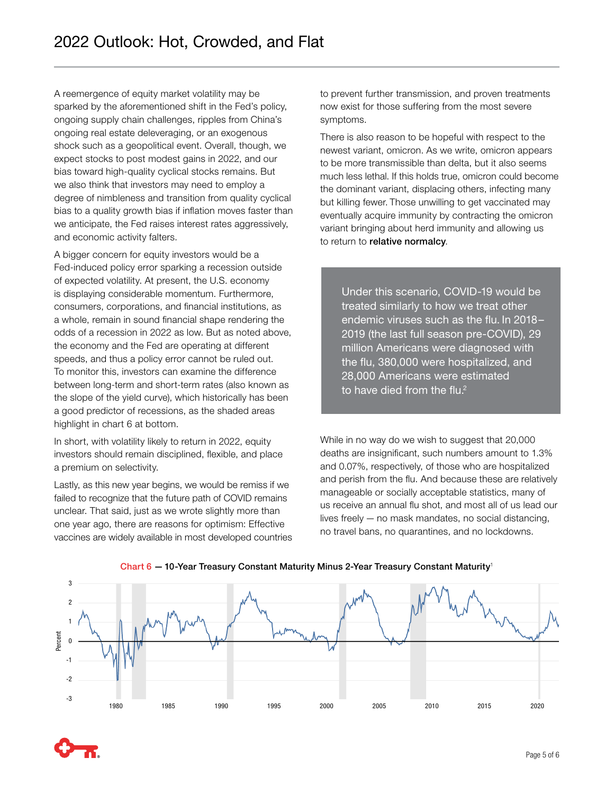A reemergence of equity market volatility may be sparked by the aforementioned shift in the Fed's policy, ongoing supply chain challenges, ripples from China's ongoing real estate deleveraging, or an exogenous shock such as a geopolitical event. Overall, though, we expect stocks to post modest gains in 2022, and our bias toward high-quality cyclical stocks remains. But we also think that investors may need to employ a degree of nimbleness and transition from quality cyclical bias to a quality growth bias if inflation moves faster than we anticipate, the Fed raises interest rates aggressively, and economic activity falters.

A bigger concern for equity investors would be a Fed-induced policy error sparking a recession outside of expected volatility. At present, the U.S. economy is displaying considerable momentum. Furthermore, consumers, corporations, and financial institutions, as a whole, remain in sound financial shape rendering the odds of a recession in 2022 as low. But as noted above, the economy and the Fed are operating at different speeds, and thus a policy error cannot be ruled out. To monitor this, investors can examine the difference between long-term and short-term rates (also known as the slope of the yield curve), which historically has been a good predictor of recessions, as the shaded areas highlight in chart 6 at bottom.

In short, with volatility likely to return in 2022, equity investors should remain disciplined, flexible, and place a premium on selectivity.

Lastly, as this new year begins, we would be remiss if we failed to recognize that the future path of COVID remains unclear. That said, just as we wrote slightly more than one year ago, there are reasons for optimism: Effective vaccines are widely available in most developed countries to prevent further transmission, and proven treatments now exist for those suffering from the most severe symptoms.

There is also reason to be hopeful with respect to the newest variant, omicron. As we write, omicron appears to be more transmissible than delta, but it also seems much less lethal. If this holds true, omicron could become the dominant variant, displacing others, infecting many but killing fewer. Those unwilling to get vaccinated may eventually acquire immunity by contracting the omicron variant bringing about herd immunity and allowing us to return to relative normalcy.

Under this scenario, COVID-19 would be treated similarly to how we treat other endemic viruses such as the flu. In 2018– 2019 (the last full season pre-COVID), 29 million Americans were diagnosed with the flu, 380,000 were hospitalized, and 28,000 Americans were estimated to have died from the flu. $2$ 

While in no way do we wish to suggest that 20,000 deaths are insignificant, such numbers amount to 1.3% and 0.07%, respectively, of those who are hospitalized and perish from the flu. And because these are relatively manageable or socially acceptable statistics, many of us receive an annual flu shot, and most all of us lead our lives freely — no mask mandates, no social distancing, no travel bans, no quarantines, and no lockdowns.



## Chart  $6 - 10$ -Year Treasury Constant Maturity Minus 2-Year Treasury Constant Maturity<sup>1</sup>